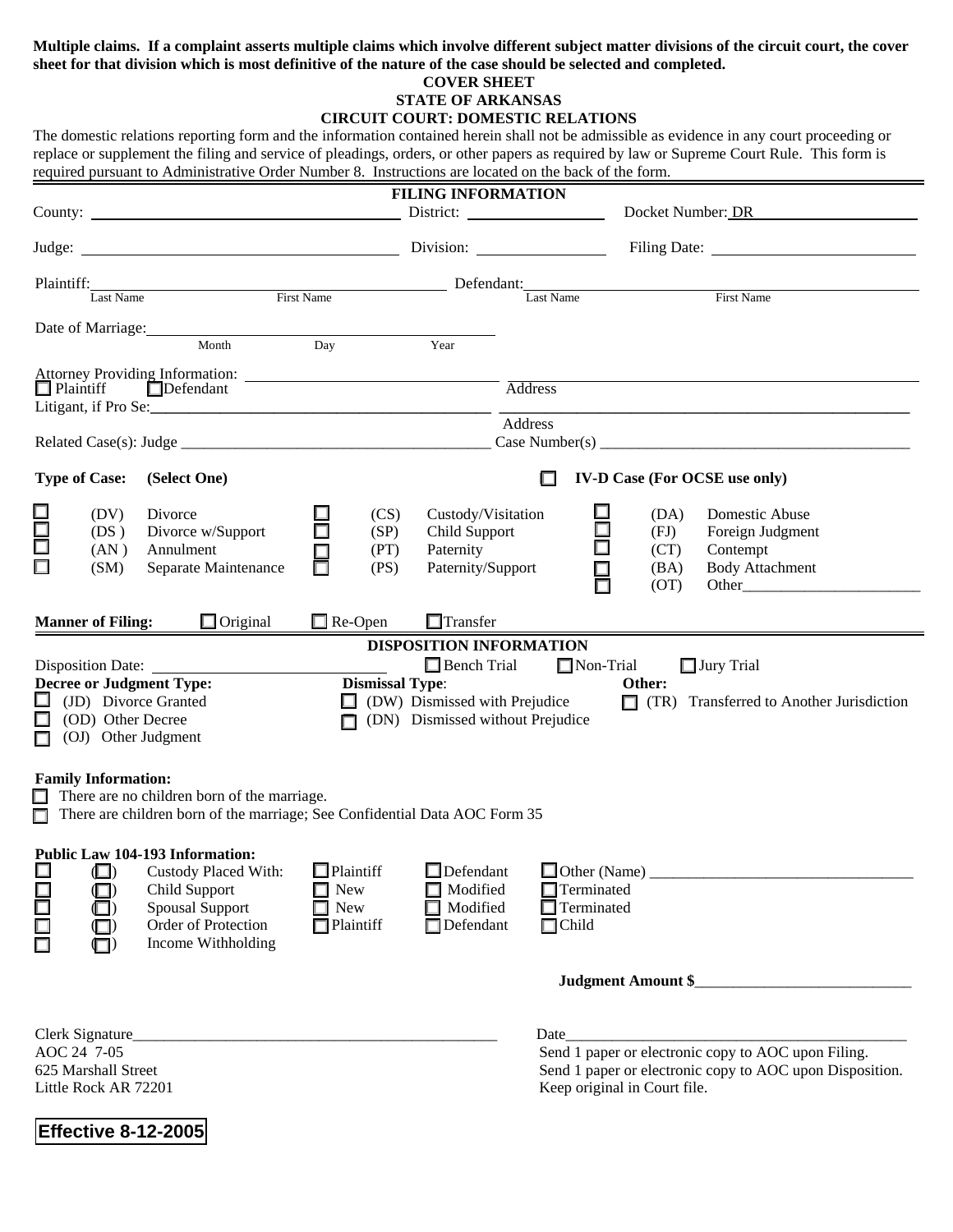### **Multiple claims. If a complaint asserts multiple claims which involve different subject matter divisions of the circuit court, the cover sheet for that division which is most definitive of the nature of the case should be selected and completed.**

### **COVER SHEET**

# **STATE OF ARKANSAS**

## **CIRCUIT COURT: DOMESTIC RELATIONS**

The domestic relations reporting form and the information contained herein shall not be admissible as evidence in any court proceeding or replace or supplement the filing and service of pleadings, orders, or other papers as required by law or Supreme Court Rule. This form is required pursuant to Administrative Order Number 8. Instructions are located on the back of the form.

| <b>FILING INFORMATION</b>                                                                                                                                                                 |                                                           |                         |                                                                                                                                                                                                                                |                                                              |                              |              |                                    |  |
|-------------------------------------------------------------------------------------------------------------------------------------------------------------------------------------------|-----------------------------------------------------------|-------------------------|--------------------------------------------------------------------------------------------------------------------------------------------------------------------------------------------------------------------------------|--------------------------------------------------------------|------------------------------|--------------|------------------------------------|--|
|                                                                                                                                                                                           |                                                           |                         |                                                                                                                                                                                                                                |                                                              | Docket Number: DR            |              |                                    |  |
|                                                                                                                                                                                           |                                                           |                         |                                                                                                                                                                                                                                |                                                              |                              |              |                                    |  |
| Plaintiff:                                                                                                                                                                                |                                                           |                         | Exast Name First Name First Name Defendant: Last Name First Name First Name First Name First Name Case of Texas Name Research Assembly Name Street Assembly Name Street Assembly Name Street Assembly Name Street Assembly Nam |                                                              |                              |              |                                    |  |
|                                                                                                                                                                                           |                                                           |                         |                                                                                                                                                                                                                                |                                                              |                              |              |                                    |  |
|                                                                                                                                                                                           | Date of Marriage: 1988<br>Month                           | Day                     | Year                                                                                                                                                                                                                           |                                                              |                              |              |                                    |  |
|                                                                                                                                                                                           |                                                           |                         |                                                                                                                                                                                                                                |                                                              |                              |              |                                    |  |
| $\Box$ Plaintiff                                                                                                                                                                          | $\Box$ Defendant                                          |                         |                                                                                                                                                                                                                                | $\overline{\mbox{Address}}$                                  |                              |              |                                    |  |
|                                                                                                                                                                                           |                                                           |                         | Address                                                                                                                                                                                                                        |                                                              |                              |              |                                    |  |
|                                                                                                                                                                                           |                                                           |                         |                                                                                                                                                                                                                                |                                                              |                              |              |                                    |  |
| <b>Type of Case:</b>                                                                                                                                                                      | (Select One)<br>П<br><b>IV-D Case (For OCSE use only)</b> |                         |                                                                                                                                                                                                                                |                                                              |                              |              |                                    |  |
| (DV)                                                                                                                                                                                      | Divorce                                                   | (CS)                    | Custody/Visitation                                                                                                                                                                                                             |                                                              |                              | (DA)         | Domestic Abuse                     |  |
| 100<br>00<br>(DS)                                                                                                                                                                         | Divorce w/Support                                         | (SP)                    | Child Support                                                                                                                                                                                                                  |                                                              | $\Box$                       | (FJ)         | Foreign Judgment                   |  |
| (AN)<br>(SM)                                                                                                                                                                              | Annulment<br>Separate Maintenance                         | (PT)<br>□<br>(PS)       | Paternity<br>Paternity/Support                                                                                                                                                                                                 |                                                              |                              | (CT)<br>(BA) | Contempt<br><b>Body Attachment</b> |  |
|                                                                                                                                                                                           |                                                           |                         |                                                                                                                                                                                                                                |                                                              | ▤                            | (OT)         | Other                              |  |
| <b>Manner of Filing:</b>                                                                                                                                                                  | $\Box$ Original                                           | $\Box$ Re-Open          | $\Box$ Transfer                                                                                                                                                                                                                |                                                              |                              |              |                                    |  |
| <b>DISPOSITION INFORMATION</b>                                                                                                                                                            |                                                           |                         |                                                                                                                                                                                                                                |                                                              |                              |              |                                    |  |
| $\Box$ Bench Trial<br>$\Box$ Non-Trial<br>$\Box$ Jury Trial<br>Disposition Date:                                                                                                          |                                                           |                         |                                                                                                                                                                                                                                |                                                              |                              |              |                                    |  |
| <b>Decree or Judgment Type:</b><br><b>Dismissal Type:</b><br>Other:<br>$\Box$<br>(JD) Divorce Granted<br>(DW) Dismissed with Prejudice<br>$\Box$ (TR) Transferred to Another Jurisdiction |                                                           |                         |                                                                                                                                                                                                                                |                                                              |                              |              |                                    |  |
| (OD) Other Decree<br>(DN) Dismissed without Prejudice<br>n                                                                                                                                |                                                           |                         |                                                                                                                                                                                                                                |                                                              |                              |              |                                    |  |
| (OJ) Other Judgment                                                                                                                                                                       |                                                           |                         |                                                                                                                                                                                                                                |                                                              |                              |              |                                    |  |
| <b>Family Information:</b>                                                                                                                                                                |                                                           |                         |                                                                                                                                                                                                                                |                                                              |                              |              |                                    |  |
| $\Box$ There are no children born of the marriage.                                                                                                                                        |                                                           |                         |                                                                                                                                                                                                                                |                                                              |                              |              |                                    |  |
| $\Box$ There are children born of the marriage; See Confidential Data AOC Form 35                                                                                                         |                                                           |                         |                                                                                                                                                                                                                                |                                                              |                              |              |                                    |  |
|                                                                                                                                                                                           | <b>Public Law 104-193 Information:</b>                    |                         |                                                                                                                                                                                                                                |                                                              |                              |              |                                    |  |
| $\Box$<br>$\Box$                                                                                                                                                                          | Custody Placed With:<br>Child Support                     | $\Box$ Plaintiff<br>New | $\Box$ Defendant<br>Modified                                                                                                                                                                                                   |                                                              | $\Box$ Terminated            |              |                                    |  |
| $\Box$<br>$\blacksquare$                                                                                                                                                                  | <b>Spousal Support</b>                                    | New                     | Modified                                                                                                                                                                                                                       |                                                              | $\Box$ Terminated            |              |                                    |  |
| 8000                                                                                                                                                                                      | Order of Protection                                       | $\Box$ Plaintiff        | $\Box$ Defendant                                                                                                                                                                                                               | $\Box$ Child                                                 |                              |              |                                    |  |
| $\Box$                                                                                                                                                                                    | Income Withholding                                        |                         |                                                                                                                                                                                                                                |                                                              |                              |              |                                    |  |
| <b>Judgment Amount \$_</b>                                                                                                                                                                |                                                           |                         |                                                                                                                                                                                                                                |                                                              |                              |              |                                    |  |
|                                                                                                                                                                                           |                                                           |                         |                                                                                                                                                                                                                                |                                                              |                              |              |                                    |  |
| AOC 24 7-05                                                                                                                                                                               | Clerk Signature                                           |                         |                                                                                                                                                                                                                                | Date_<br>Send 1 paper or electronic copy to AOC upon Filing. |                              |              |                                    |  |
| 625 Marshall Street                                                                                                                                                                       |                                                           |                         |                                                                                                                                                                                                                                | Send 1 paper or electronic copy to AOC upon Disposition.     |                              |              |                                    |  |
| Little Rock AR 72201                                                                                                                                                                      |                                                           |                         |                                                                                                                                                                                                                                |                                                              | Keep original in Court file. |              |                                    |  |
|                                                                                                                                                                                           |                                                           |                         |                                                                                                                                                                                                                                |                                                              |                              |              |                                    |  |

**Effective 8-12-2005**